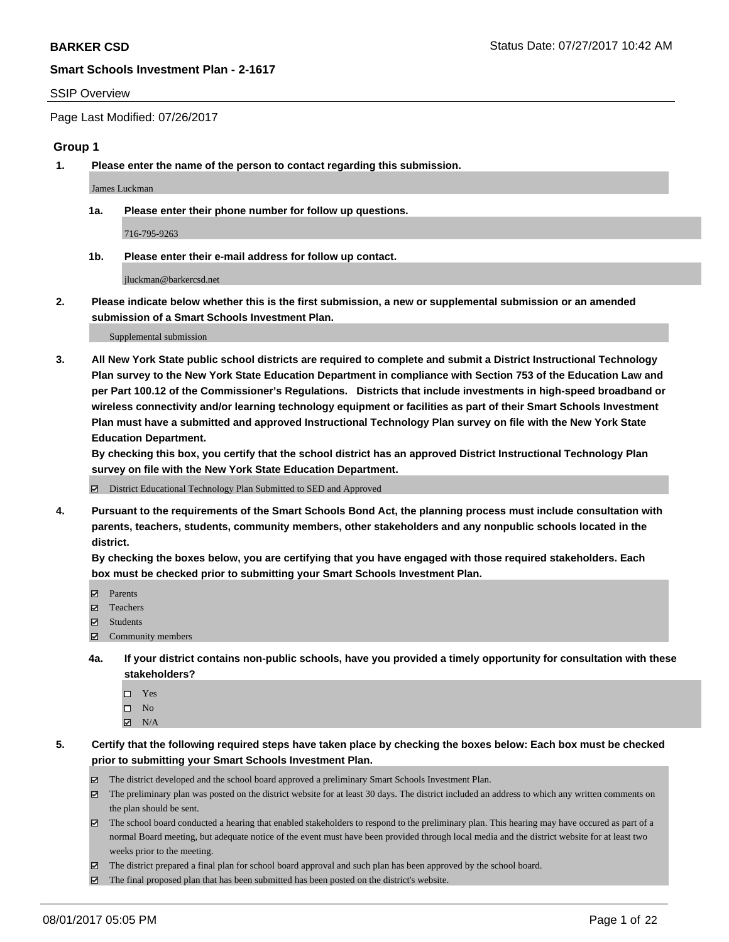### SSIP Overview

Page Last Modified: 07/26/2017

### **Group 1**

**1. Please enter the name of the person to contact regarding this submission.**

James Luckman

**1a. Please enter their phone number for follow up questions.**

716-795-9263

**1b. Please enter their e-mail address for follow up contact.**

jluckman@barkercsd.net

**2. Please indicate below whether this is the first submission, a new or supplemental submission or an amended submission of a Smart Schools Investment Plan.**

Supplemental submission

**3. All New York State public school districts are required to complete and submit a District Instructional Technology Plan survey to the New York State Education Department in compliance with Section 753 of the Education Law and per Part 100.12 of the Commissioner's Regulations. Districts that include investments in high-speed broadband or wireless connectivity and/or learning technology equipment or facilities as part of their Smart Schools Investment Plan must have a submitted and approved Instructional Technology Plan survey on file with the New York State Education Department.** 

**By checking this box, you certify that the school district has an approved District Instructional Technology Plan survey on file with the New York State Education Department.**

District Educational Technology Plan Submitted to SED and Approved

**4. Pursuant to the requirements of the Smart Schools Bond Act, the planning process must include consultation with parents, teachers, students, community members, other stakeholders and any nonpublic schools located in the district.** 

**By checking the boxes below, you are certifying that you have engaged with those required stakeholders. Each box must be checked prior to submitting your Smart Schools Investment Plan.**

- **マ** Parents
- □ Teachers
- Students
- $\Xi$  Community members
- **4a. If your district contains non-public schools, have you provided a timely opportunity for consultation with these stakeholders?**
	- Yes
	- $\hfill \square$  No
	- $\boxtimes$  N/A
- **5. Certify that the following required steps have taken place by checking the boxes below: Each box must be checked prior to submitting your Smart Schools Investment Plan.**
	- The district developed and the school board approved a preliminary Smart Schools Investment Plan.
	- $\boxtimes$  The preliminary plan was posted on the district website for at least 30 days. The district included an address to which any written comments on the plan should be sent.
	- $\boxtimes$  The school board conducted a hearing that enabled stakeholders to respond to the preliminary plan. This hearing may have occured as part of a normal Board meeting, but adequate notice of the event must have been provided through local media and the district website for at least two weeks prior to the meeting.
	- The district prepared a final plan for school board approval and such plan has been approved by the school board.
	- $\boxtimes$  The final proposed plan that has been submitted has been posted on the district's website.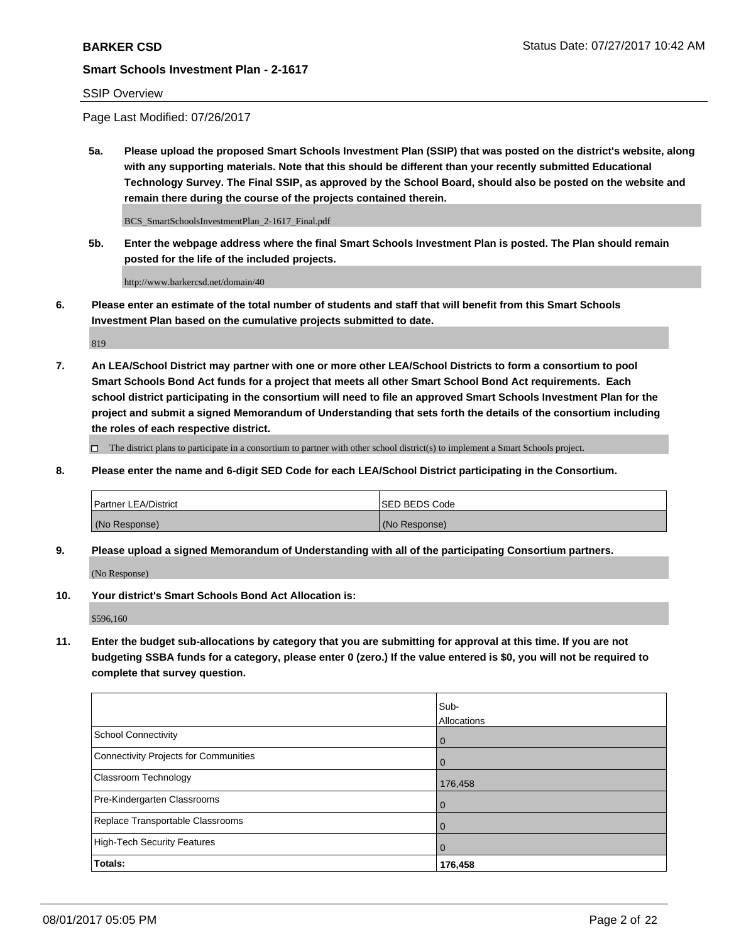## SSIP Overview

Page Last Modified: 07/26/2017

**5a. Please upload the proposed Smart Schools Investment Plan (SSIP) that was posted on the district's website, along with any supporting materials. Note that this should be different than your recently submitted Educational Technology Survey. The Final SSIP, as approved by the School Board, should also be posted on the website and remain there during the course of the projects contained therein.**

BCS\_SmartSchoolsInvestmentPlan\_2-1617\_Final.pdf

**5b. Enter the webpage address where the final Smart Schools Investment Plan is posted. The Plan should remain posted for the life of the included projects.**

http://www.barkercsd.net/domain/40

**6. Please enter an estimate of the total number of students and staff that will benefit from this Smart Schools Investment Plan based on the cumulative projects submitted to date.**

819

**7. An LEA/School District may partner with one or more other LEA/School Districts to form a consortium to pool Smart Schools Bond Act funds for a project that meets all other Smart School Bond Act requirements. Each school district participating in the consortium will need to file an approved Smart Schools Investment Plan for the project and submit a signed Memorandum of Understanding that sets forth the details of the consortium including the roles of each respective district.**

 $\Box$  The district plans to participate in a consortium to partner with other school district(s) to implement a Smart Schools project.

**8. Please enter the name and 6-digit SED Code for each LEA/School District participating in the Consortium.**

| <b>Partner LEA/District</b> | <b>ISED BEDS Code</b> |
|-----------------------------|-----------------------|
| (No Response)               | (No Response)         |

**9. Please upload a signed Memorandum of Understanding with all of the participating Consortium partners.**

(No Response)

**10. Your district's Smart Schools Bond Act Allocation is:**

\$596,160

**11. Enter the budget sub-allocations by category that you are submitting for approval at this time. If you are not budgeting SSBA funds for a category, please enter 0 (zero.) If the value entered is \$0, you will not be required to complete that survey question.**

|                                       | Sub-<br>Allocations |
|---------------------------------------|---------------------|
| <b>School Connectivity</b>            | $\overline{0}$      |
| Connectivity Projects for Communities | 0                   |
| Classroom Technology                  | 176,458             |
| Pre-Kindergarten Classrooms           | $\overline{0}$      |
| Replace Transportable Classrooms      | 0                   |
| <b>High-Tech Security Features</b>    | $\overline{0}$      |
| Totals:                               | 176,458             |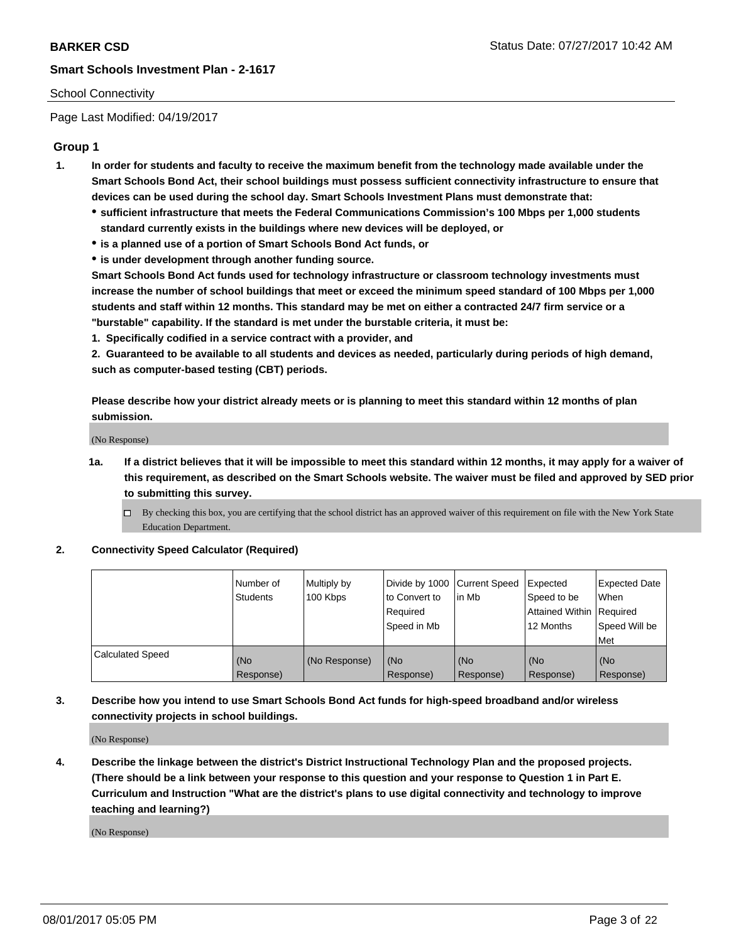## School Connectivity

Page Last Modified: 04/19/2017

## **Group 1**

- **1. In order for students and faculty to receive the maximum benefit from the technology made available under the Smart Schools Bond Act, their school buildings must possess sufficient connectivity infrastructure to ensure that devices can be used during the school day. Smart Schools Investment Plans must demonstrate that:**
	- **sufficient infrastructure that meets the Federal Communications Commission's 100 Mbps per 1,000 students standard currently exists in the buildings where new devices will be deployed, or**
	- **is a planned use of a portion of Smart Schools Bond Act funds, or**
	- **is under development through another funding source.**

**Smart Schools Bond Act funds used for technology infrastructure or classroom technology investments must increase the number of school buildings that meet or exceed the minimum speed standard of 100 Mbps per 1,000 students and staff within 12 months. This standard may be met on either a contracted 24/7 firm service or a "burstable" capability. If the standard is met under the burstable criteria, it must be:**

**1. Specifically codified in a service contract with a provider, and**

**2. Guaranteed to be available to all students and devices as needed, particularly during periods of high demand, such as computer-based testing (CBT) periods.**

**Please describe how your district already meets or is planning to meet this standard within 12 months of plan submission.**

(No Response)

- **1a. If a district believes that it will be impossible to meet this standard within 12 months, it may apply for a waiver of this requirement, as described on the Smart Schools website. The waiver must be filed and approved by SED prior to submitting this survey.**
	- By checking this box, you are certifying that the school district has an approved waiver of this requirement on file with the New York State Education Department.

### **2. Connectivity Speed Calculator (Required)**

|                         | l Number of<br><b>Students</b> | Multiply by<br>100 Kbps | Divide by 1000   Current Speed<br>to Convert to<br>Required<br>l Speed in Mb | in Mb            | Expected<br>Speed to be<br>Attained Within Required<br>12 Months | <b>Expected Date</b><br>When<br>Speed Will be<br><b>Met</b> |
|-------------------------|--------------------------------|-------------------------|------------------------------------------------------------------------------|------------------|------------------------------------------------------------------|-------------------------------------------------------------|
| <b>Calculated Speed</b> | (No<br>Response)               | (No Response)           | (No<br>Response)                                                             | (No<br>Response) | (No<br>Response)                                                 | l (No<br>Response)                                          |

## **3. Describe how you intend to use Smart Schools Bond Act funds for high-speed broadband and/or wireless connectivity projects in school buildings.**

(No Response)

**4. Describe the linkage between the district's District Instructional Technology Plan and the proposed projects. (There should be a link between your response to this question and your response to Question 1 in Part E. Curriculum and Instruction "What are the district's plans to use digital connectivity and technology to improve teaching and learning?)**

(No Response)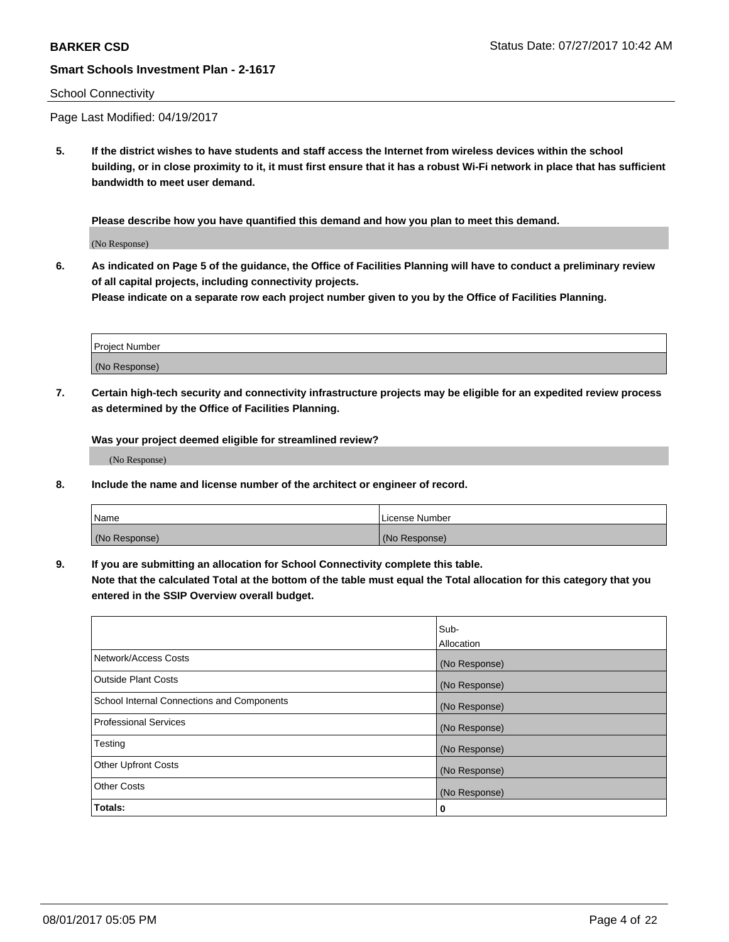### School Connectivity

Page Last Modified: 04/19/2017

**5. If the district wishes to have students and staff access the Internet from wireless devices within the school building, or in close proximity to it, it must first ensure that it has a robust Wi-Fi network in place that has sufficient bandwidth to meet user demand.**

**Please describe how you have quantified this demand and how you plan to meet this demand.**

(No Response)

**6. As indicated on Page 5 of the guidance, the Office of Facilities Planning will have to conduct a preliminary review of all capital projects, including connectivity projects.**

**Please indicate on a separate row each project number given to you by the Office of Facilities Planning.**

| Project Number |  |
|----------------|--|
|                |  |
| (No Response)  |  |

**7. Certain high-tech security and connectivity infrastructure projects may be eligible for an expedited review process as determined by the Office of Facilities Planning.**

**Was your project deemed eligible for streamlined review?**

(No Response)

**8. Include the name and license number of the architect or engineer of record.**

| Name          | License Number |
|---------------|----------------|
| (No Response) | (No Response)  |

**9. If you are submitting an allocation for School Connectivity complete this table.**

**Note that the calculated Total at the bottom of the table must equal the Total allocation for this category that you entered in the SSIP Overview overall budget.** 

|                                            | Sub-          |
|--------------------------------------------|---------------|
|                                            | Allocation    |
| Network/Access Costs                       | (No Response) |
| Outside Plant Costs                        | (No Response) |
| School Internal Connections and Components | (No Response) |
| <b>Professional Services</b>               | (No Response) |
| Testing                                    | (No Response) |
| <b>Other Upfront Costs</b>                 | (No Response) |
| <b>Other Costs</b>                         | (No Response) |
| Totals:                                    | 0             |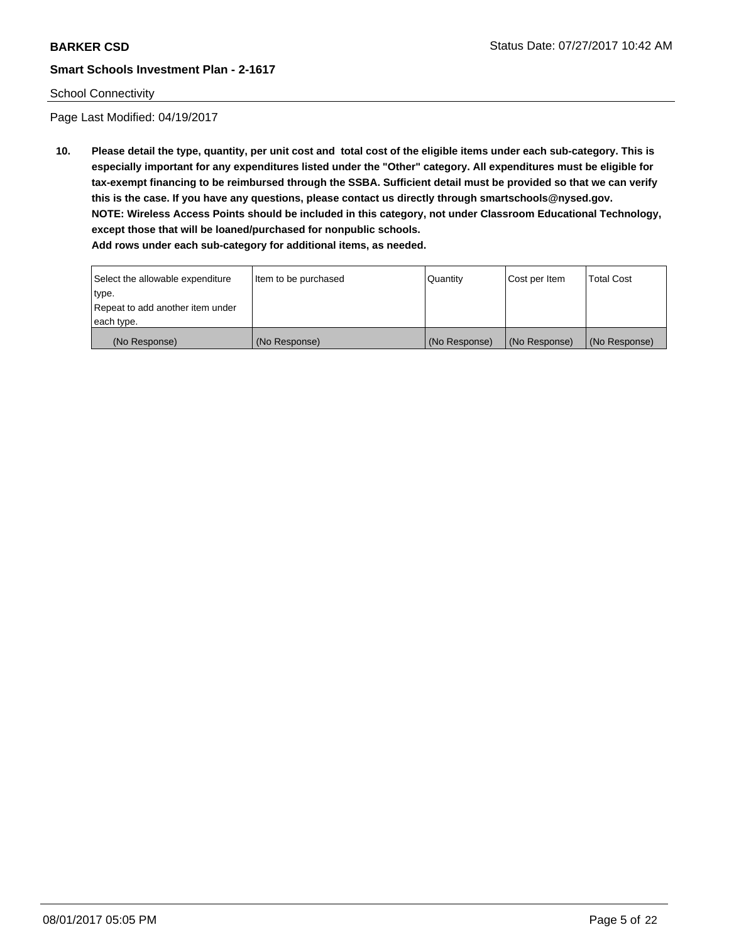## School Connectivity

Page Last Modified: 04/19/2017

**10. Please detail the type, quantity, per unit cost and total cost of the eligible items under each sub-category. This is especially important for any expenditures listed under the "Other" category. All expenditures must be eligible for tax-exempt financing to be reimbursed through the SSBA. Sufficient detail must be provided so that we can verify this is the case. If you have any questions, please contact us directly through smartschools@nysed.gov. NOTE: Wireless Access Points should be included in this category, not under Classroom Educational Technology, except those that will be loaned/purchased for nonpublic schools.**

| Select the allowable expenditure | Item to be purchased | Quantity      | Cost per Item | Total Cost    |
|----------------------------------|----------------------|---------------|---------------|---------------|
| type.                            |                      |               |               |               |
| Repeat to add another item under |                      |               |               |               |
| each type.                       |                      |               |               |               |
| (No Response)                    | (No Response)        | (No Response) | (No Response) | (No Response) |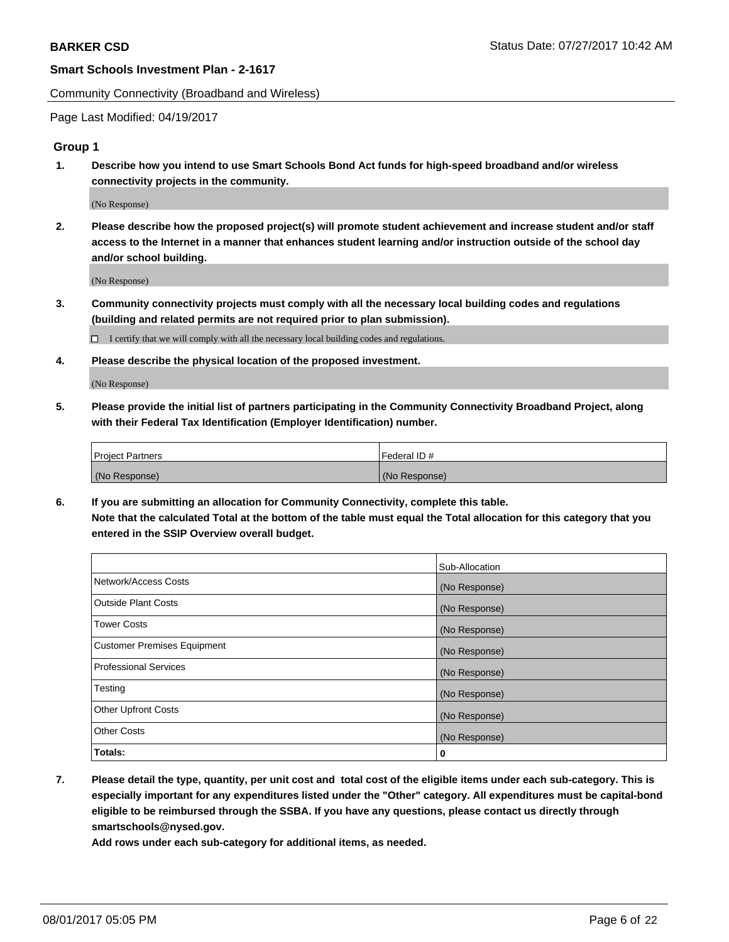Community Connectivity (Broadband and Wireless)

Page Last Modified: 04/19/2017

## **Group 1**

**1. Describe how you intend to use Smart Schools Bond Act funds for high-speed broadband and/or wireless connectivity projects in the community.**

(No Response)

**2. Please describe how the proposed project(s) will promote student achievement and increase student and/or staff access to the Internet in a manner that enhances student learning and/or instruction outside of the school day and/or school building.**

(No Response)

**3. Community connectivity projects must comply with all the necessary local building codes and regulations (building and related permits are not required prior to plan submission).**

 $\Box$  I certify that we will comply with all the necessary local building codes and regulations.

**4. Please describe the physical location of the proposed investment.**

(No Response)

**5. Please provide the initial list of partners participating in the Community Connectivity Broadband Project, along with their Federal Tax Identification (Employer Identification) number.**

| <b>Project Partners</b> | Federal ID#     |
|-------------------------|-----------------|
| (No Response)           | l (No Response) |

**6. If you are submitting an allocation for Community Connectivity, complete this table. Note that the calculated Total at the bottom of the table must equal the Total allocation for this category that you entered in the SSIP Overview overall budget.**

|                                    | Sub-Allocation |
|------------------------------------|----------------|
| Network/Access Costs               | (No Response)  |
| Outside Plant Costs                | (No Response)  |
| <b>Tower Costs</b>                 | (No Response)  |
| <b>Customer Premises Equipment</b> | (No Response)  |
| <b>Professional Services</b>       | (No Response)  |
| Testing                            | (No Response)  |
| <b>Other Upfront Costs</b>         | (No Response)  |
| <b>Other Costs</b>                 | (No Response)  |
| Totals:                            | 0              |

**7. Please detail the type, quantity, per unit cost and total cost of the eligible items under each sub-category. This is especially important for any expenditures listed under the "Other" category. All expenditures must be capital-bond eligible to be reimbursed through the SSBA. If you have any questions, please contact us directly through smartschools@nysed.gov.**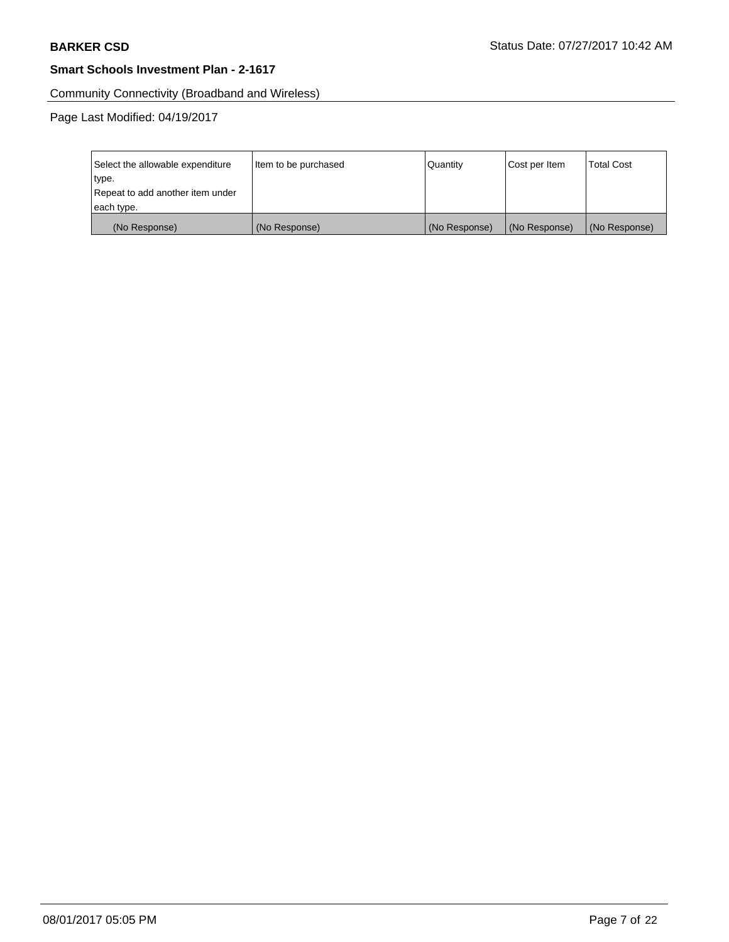Community Connectivity (Broadband and Wireless)

| Select the allowable expenditure | Item to be purchased | Quantity      | Cost per Item | <b>Total Cost</b> |
|----------------------------------|----------------------|---------------|---------------|-------------------|
| type.                            |                      |               |               |                   |
| Repeat to add another item under |                      |               |               |                   |
| each type.                       |                      |               |               |                   |
| (No Response)                    | (No Response)        | (No Response) | (No Response) | (No Response)     |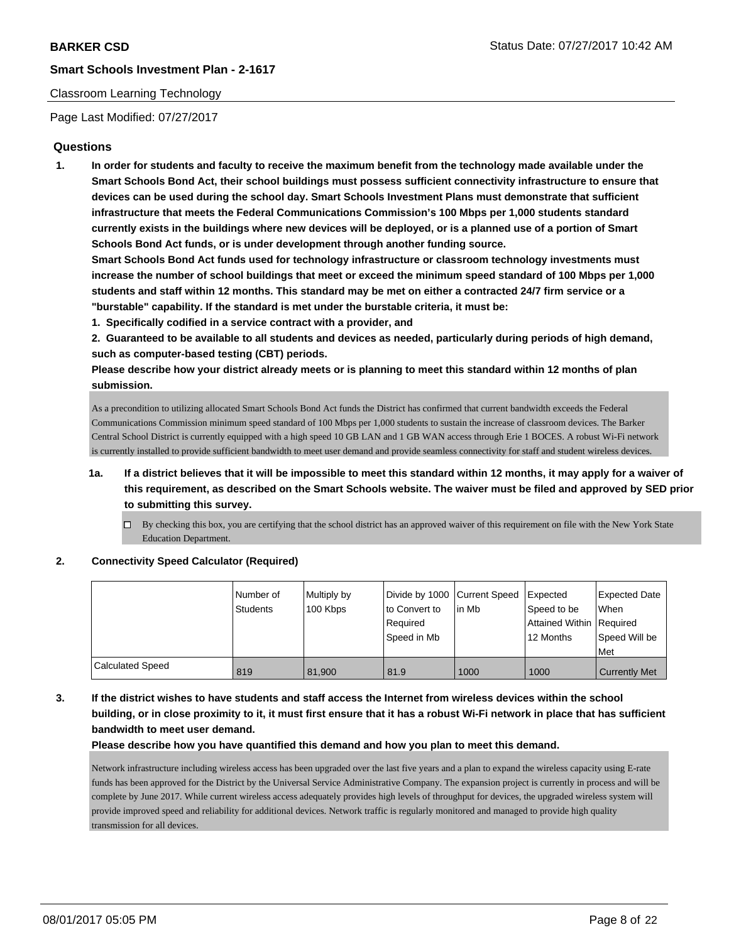### Classroom Learning Technology

Page Last Modified: 07/27/2017

## **Questions**

**1. In order for students and faculty to receive the maximum benefit from the technology made available under the Smart Schools Bond Act, their school buildings must possess sufficient connectivity infrastructure to ensure that devices can be used during the school day. Smart Schools Investment Plans must demonstrate that sufficient infrastructure that meets the Federal Communications Commission's 100 Mbps per 1,000 students standard currently exists in the buildings where new devices will be deployed, or is a planned use of a portion of Smart Schools Bond Act funds, or is under development through another funding source.**

**Smart Schools Bond Act funds used for technology infrastructure or classroom technology investments must increase the number of school buildings that meet or exceed the minimum speed standard of 100 Mbps per 1,000 students and staff within 12 months. This standard may be met on either a contracted 24/7 firm service or a "burstable" capability. If the standard is met under the burstable criteria, it must be:**

**1. Specifically codified in a service contract with a provider, and**

**2. Guaranteed to be available to all students and devices as needed, particularly during periods of high demand, such as computer-based testing (CBT) periods.**

**Please describe how your district already meets or is planning to meet this standard within 12 months of plan submission.**

As a precondition to utilizing allocated Smart Schools Bond Act funds the District has confirmed that current bandwidth exceeds the Federal Communications Commission minimum speed standard of 100 Mbps per 1,000 students to sustain the increase of classroom devices. The Barker Central School District is currently equipped with a high speed 10 GB LAN and 1 GB WAN access through Erie 1 BOCES. A robust Wi-Fi network is currently installed to provide sufficient bandwidth to meet user demand and provide seamless connectivity for staff and student wireless devices.

- **1a. If a district believes that it will be impossible to meet this standard within 12 months, it may apply for a waiver of this requirement, as described on the Smart Schools website. The waiver must be filed and approved by SED prior to submitting this survey.**
	- $\Box$  By checking this box, you are certifying that the school district has an approved waiver of this requirement on file with the New York State Education Department.

### **2. Connectivity Speed Calculator (Required)**

|                         | l Number of<br><b>Students</b> | Multiply by<br>100 Kbps | Divide by 1000 Current Speed<br>to Convert to<br>Required<br>Speed in Mb | lin Mb | Expected<br>Speed to be<br>Attained Within Required<br>12 Months | Expected Date<br><b>When</b><br>Speed Will be<br>Met |
|-------------------------|--------------------------------|-------------------------|--------------------------------------------------------------------------|--------|------------------------------------------------------------------|------------------------------------------------------|
| <b>Calculated Speed</b> | 819                            | 81.900                  | 81.9                                                                     | 1000   | 1000                                                             | <b>Currently Met</b>                                 |

## **3. If the district wishes to have students and staff access the Internet from wireless devices within the school building, or in close proximity to it, it must first ensure that it has a robust Wi-Fi network in place that has sufficient bandwidth to meet user demand.**

**Please describe how you have quantified this demand and how you plan to meet this demand.**

Network infrastructure including wireless access has been upgraded over the last five years and a plan to expand the wireless capacity using E-rate funds has been approved for the District by the Universal Service Administrative Company. The expansion project is currently in process and will be complete by June 2017. While current wireless access adequately provides high levels of throughput for devices, the upgraded wireless system will provide improved speed and reliability for additional devices. Network traffic is regularly monitored and managed to provide high quality transmission for all devices.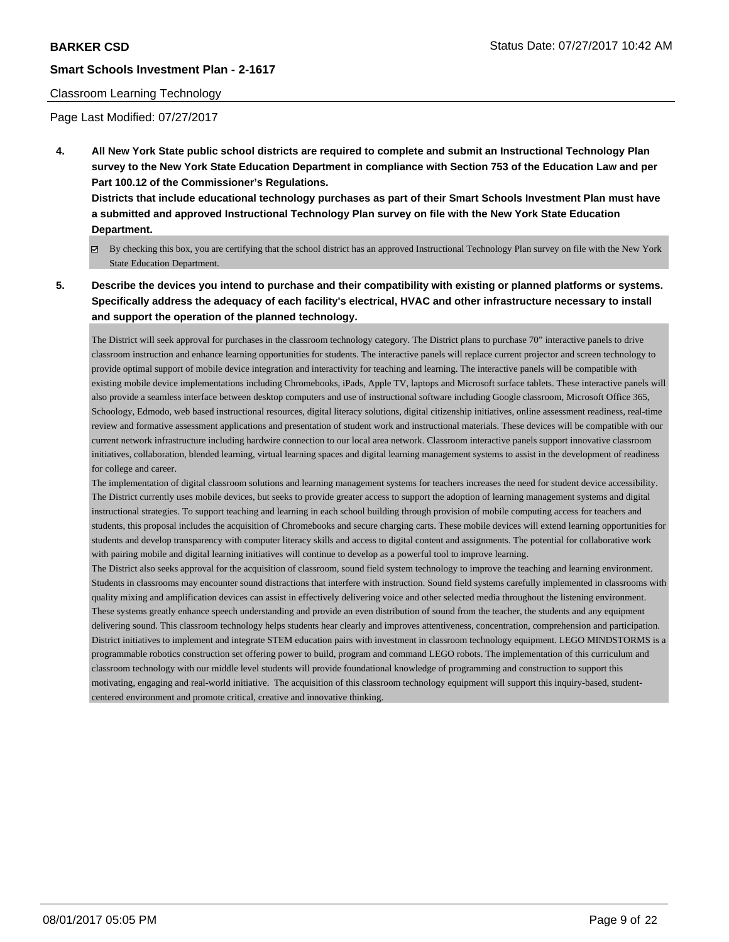### Classroom Learning Technology

Page Last Modified: 07/27/2017

**4. All New York State public school districts are required to complete and submit an Instructional Technology Plan survey to the New York State Education Department in compliance with Section 753 of the Education Law and per Part 100.12 of the Commissioner's Regulations.**

**Districts that include educational technology purchases as part of their Smart Schools Investment Plan must have a submitted and approved Instructional Technology Plan survey on file with the New York State Education Department.**

- By checking this box, you are certifying that the school district has an approved Instructional Technology Plan survey on file with the New York State Education Department.
- **5. Describe the devices you intend to purchase and their compatibility with existing or planned platforms or systems. Specifically address the adequacy of each facility's electrical, HVAC and other infrastructure necessary to install and support the operation of the planned technology.**

The District will seek approval for purchases in the classroom technology category. The District plans to purchase 70" interactive panels to drive classroom instruction and enhance learning opportunities for students. The interactive panels will replace current projector and screen technology to provide optimal support of mobile device integration and interactivity for teaching and learning. The interactive panels will be compatible with existing mobile device implementations including Chromebooks, iPads, Apple TV, laptops and Microsoft surface tablets. These interactive panels will also provide a seamless interface between desktop computers and use of instructional software including Google classroom, Microsoft Office 365, Schoology, Edmodo, web based instructional resources, digital literacy solutions, digital citizenship initiatives, online assessment readiness, real-time review and formative assessment applications and presentation of student work and instructional materials. These devices will be compatible with our current network infrastructure including hardwire connection to our local area network. Classroom interactive panels support innovative classroom initiatives, collaboration, blended learning, virtual learning spaces and digital learning management systems to assist in the development of readiness for college and career.

The implementation of digital classroom solutions and learning management systems for teachers increases the need for student device accessibility. The District currently uses mobile devices, but seeks to provide greater access to support the adoption of learning management systems and digital instructional strategies. To support teaching and learning in each school building through provision of mobile computing access for teachers and students, this proposal includes the acquisition of Chromebooks and secure charging carts. These mobile devices will extend learning opportunities for students and develop transparency with computer literacy skills and access to digital content and assignments. The potential for collaborative work with pairing mobile and digital learning initiatives will continue to develop as a powerful tool to improve learning.

The District also seeks approval for the acquisition of classroom, sound field system technology to improve the teaching and learning environment. Students in classrooms may encounter sound distractions that interfere with instruction. Sound field systems carefully implemented in classrooms with quality mixing and amplification devices can assist in effectively delivering voice and other selected media throughout the listening environment. These systems greatly enhance speech understanding and provide an even distribution of sound from the teacher, the students and any equipment delivering sound. This classroom technology helps students hear clearly and improves attentiveness, concentration, comprehension and participation. District initiatives to implement and integrate STEM education pairs with investment in classroom technology equipment. LEGO MINDSTORMS is a programmable robotics construction set offering power to build, program and command LEGO robots. The implementation of this curriculum and classroom technology with our middle level students will provide foundational knowledge of programming and construction to support this motivating, engaging and real-world initiative. The acquisition of this classroom technology equipment will support this inquiry-based, studentcentered environment and promote critical, creative and innovative thinking.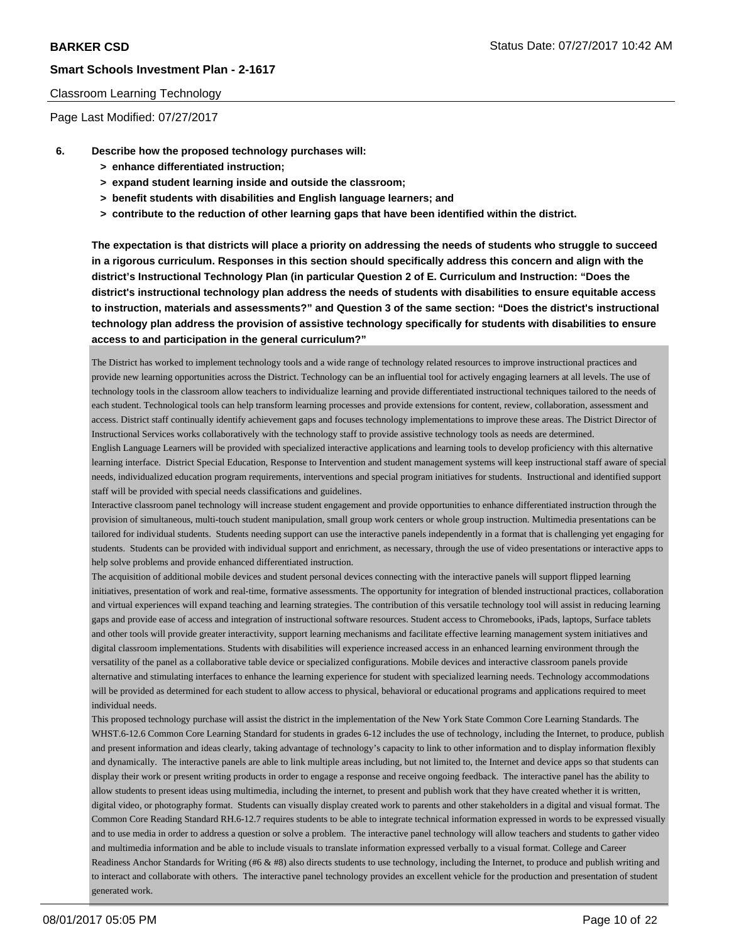### Classroom Learning Technology

Page Last Modified: 07/27/2017

- **6. Describe how the proposed technology purchases will:**
	- **> enhance differentiated instruction;**
	- **> expand student learning inside and outside the classroom;**
	- **> benefit students with disabilities and English language learners; and**
	- **> contribute to the reduction of other learning gaps that have been identified within the district.**

**The expectation is that districts will place a priority on addressing the needs of students who struggle to succeed in a rigorous curriculum. Responses in this section should specifically address this concern and align with the district's Instructional Technology Plan (in particular Question 2 of E. Curriculum and Instruction: "Does the district's instructional technology plan address the needs of students with disabilities to ensure equitable access to instruction, materials and assessments?" and Question 3 of the same section: "Does the district's instructional technology plan address the provision of assistive technology specifically for students with disabilities to ensure access to and participation in the general curriculum?"**

The District has worked to implement technology tools and a wide range of technology related resources to improve instructional practices and provide new learning opportunities across the District. Technology can be an influential tool for actively engaging learners at all levels. The use of technology tools in the classroom allow teachers to individualize learning and provide differentiated instructional techniques tailored to the needs of each student. Technological tools can help transform learning processes and provide extensions for content, review, collaboration, assessment and access. District staff continually identify achievement gaps and focuses technology implementations to improve these areas. The District Director of Instructional Services works collaboratively with the technology staff to provide assistive technology tools as needs are determined.

English Language Learners will be provided with specialized interactive applications and learning tools to develop proficiency with this alternative learning interface. District Special Education, Response to Intervention and student management systems will keep instructional staff aware of special needs, individualized education program requirements, interventions and special program initiatives for students. Instructional and identified support staff will be provided with special needs classifications and guidelines.

Interactive classroom panel technology will increase student engagement and provide opportunities to enhance differentiated instruction through the provision of simultaneous, multi-touch student manipulation, small group work centers or whole group instruction. Multimedia presentations can be tailored for individual students. Students needing support can use the interactive panels independently in a format that is challenging yet engaging for students. Students can be provided with individual support and enrichment, as necessary, through the use of video presentations or interactive apps to help solve problems and provide enhanced differentiated instruction.

The acquisition of additional mobile devices and student personal devices connecting with the interactive panels will support flipped learning initiatives, presentation of work and real-time, formative assessments. The opportunity for integration of blended instructional practices, collaboration and virtual experiences will expand teaching and learning strategies. The contribution of this versatile technology tool will assist in reducing learning gaps and provide ease of access and integration of instructional software resources. Student access to Chromebooks, iPads, laptops, Surface tablets and other tools will provide greater interactivity, support learning mechanisms and facilitate effective learning management system initiatives and digital classroom implementations. Students with disabilities will experience increased access in an enhanced learning environment through the versatility of the panel as a collaborative table device or specialized configurations. Mobile devices and interactive classroom panels provide alternative and stimulating interfaces to enhance the learning experience for student with specialized learning needs. Technology accommodations will be provided as determined for each student to allow access to physical, behavioral or educational programs and applications required to meet individual needs.

This proposed technology purchase will assist the district in the implementation of the New York State Common Core Learning Standards. The WHST.6-12.6 Common Core Learning Standard for students in grades 6-12 includes the use of technology, including the Internet, to produce, publish and present information and ideas clearly, taking advantage of technology's capacity to link to other information and to display information flexibly and dynamically. The interactive panels are able to link multiple areas including, but not limited to, the Internet and device apps so that students can display their work or present writing products in order to engage a response and receive ongoing feedback. The interactive panel has the ability to allow students to present ideas using multimedia, including the internet, to present and publish work that they have created whether it is written, digital video, or photography format. Students can visually display created work to parents and other stakeholders in a digital and visual format. The Common Core Reading Standard RH.6-12.7 requires students to be able to integrate technical information expressed in words to be expressed visually and to use media in order to address a question or solve a problem. The interactive panel technology will allow teachers and students to gather video and multimedia information and be able to include visuals to translate information expressed verbally to a visual format. College and Career Readiness Anchor Standards for Writing (#6 & #8) also directs students to use technology, including the Internet, to produce and publish writing and to interact and collaborate with others. The interactive panel technology provides an excellent vehicle for the production and presentation of student generated work.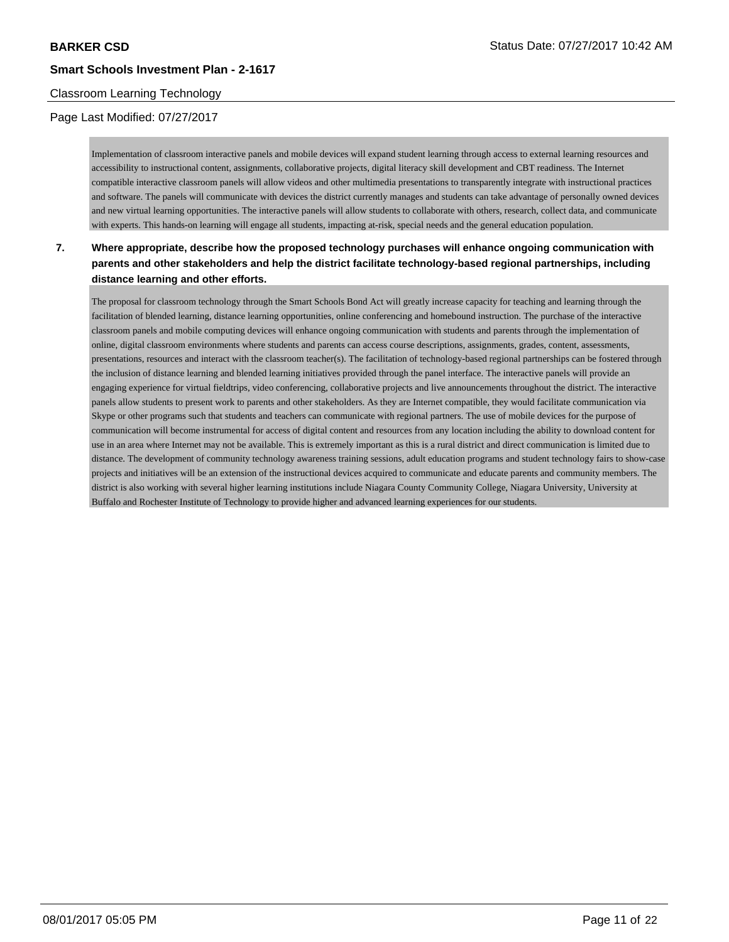## Classroom Learning Technology

## Page Last Modified: 07/27/2017

Implementation of classroom interactive panels and mobile devices will expand student learning through access to external learning resources and accessibility to instructional content, assignments, collaborative projects, digital literacy skill development and CBT readiness. The Internet compatible interactive classroom panels will allow videos and other multimedia presentations to transparently integrate with instructional practices and software. The panels will communicate with devices the district currently manages and students can take advantage of personally owned devices and new virtual learning opportunities. The interactive panels will allow students to collaborate with others, research, collect data, and communicate with experts. This hands-on learning will engage all students, impacting at-risk, special needs and the general education population.

## **7. Where appropriate, describe how the proposed technology purchases will enhance ongoing communication with parents and other stakeholders and help the district facilitate technology-based regional partnerships, including distance learning and other efforts.**

The proposal for classroom technology through the Smart Schools Bond Act will greatly increase capacity for teaching and learning through the facilitation of blended learning, distance learning opportunities, online conferencing and homebound instruction. The purchase of the interactive classroom panels and mobile computing devices will enhance ongoing communication with students and parents through the implementation of online, digital classroom environments where students and parents can access course descriptions, assignments, grades, content, assessments, presentations, resources and interact with the classroom teacher(s). The facilitation of technology-based regional partnerships can be fostered through the inclusion of distance learning and blended learning initiatives provided through the panel interface. The interactive panels will provide an engaging experience for virtual fieldtrips, video conferencing, collaborative projects and live announcements throughout the district. The interactive panels allow students to present work to parents and other stakeholders. As they are Internet compatible, they would facilitate communication via Skype or other programs such that students and teachers can communicate with regional partners. The use of mobile devices for the purpose of communication will become instrumental for access of digital content and resources from any location including the ability to download content for use in an area where Internet may not be available. This is extremely important as this is a rural district and direct communication is limited due to distance. The development of community technology awareness training sessions, adult education programs and student technology fairs to show-case projects and initiatives will be an extension of the instructional devices acquired to communicate and educate parents and community members. The district is also working with several higher learning institutions include Niagara County Community College, Niagara University, University at Buffalo and Rochester Institute of Technology to provide higher and advanced learning experiences for our students.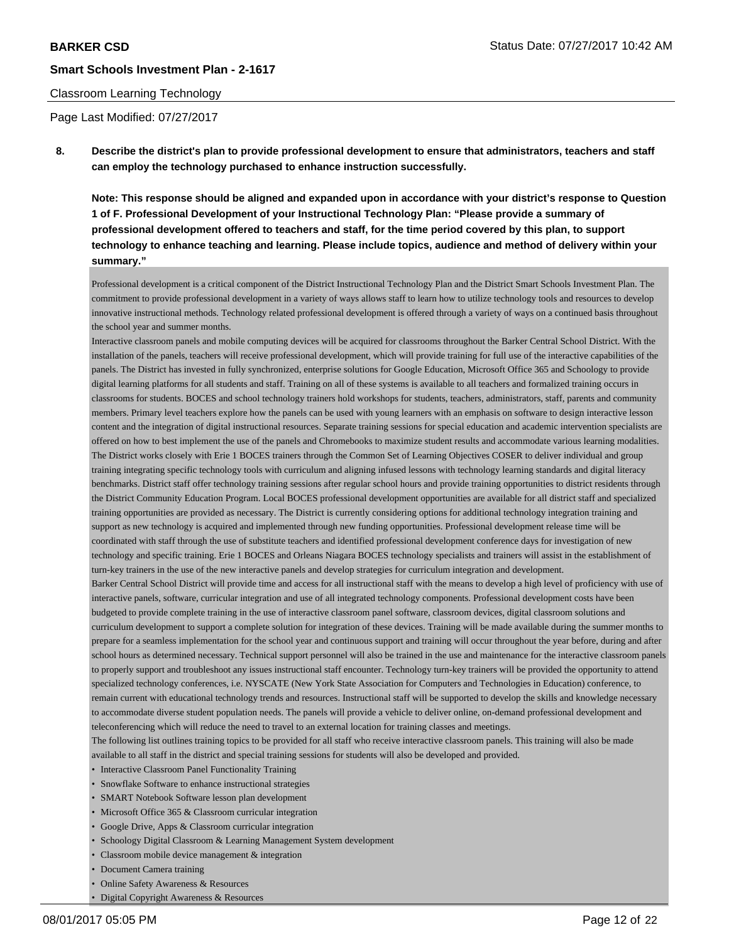### Classroom Learning Technology

Page Last Modified: 07/27/2017

**8. Describe the district's plan to provide professional development to ensure that administrators, teachers and staff can employ the technology purchased to enhance instruction successfully.**

**Note: This response should be aligned and expanded upon in accordance with your district's response to Question 1 of F. Professional Development of your Instructional Technology Plan: "Please provide a summary of professional development offered to teachers and staff, for the time period covered by this plan, to support technology to enhance teaching and learning. Please include topics, audience and method of delivery within your summary."**

Professional development is a critical component of the District Instructional Technology Plan and the District Smart Schools Investment Plan. The commitment to provide professional development in a variety of ways allows staff to learn how to utilize technology tools and resources to develop innovative instructional methods. Technology related professional development is offered through a variety of ways on a continued basis throughout the school year and summer months.

Interactive classroom panels and mobile computing devices will be acquired for classrooms throughout the Barker Central School District. With the installation of the panels, teachers will receive professional development, which will provide training for full use of the interactive capabilities of the panels. The District has invested in fully synchronized, enterprise solutions for Google Education, Microsoft Office 365 and Schoology to provide digital learning platforms for all students and staff. Training on all of these systems is available to all teachers and formalized training occurs in classrooms for students. BOCES and school technology trainers hold workshops for students, teachers, administrators, staff, parents and community members. Primary level teachers explore how the panels can be used with young learners with an emphasis on software to design interactive lesson content and the integration of digital instructional resources. Separate training sessions for special education and academic intervention specialists are offered on how to best implement the use of the panels and Chromebooks to maximize student results and accommodate various learning modalities. The District works closely with Erie 1 BOCES trainers through the Common Set of Learning Objectives COSER to deliver individual and group training integrating specific technology tools with curriculum and aligning infused lessons with technology learning standards and digital literacy benchmarks. District staff offer technology training sessions after regular school hours and provide training opportunities to district residents through the District Community Education Program. Local BOCES professional development opportunities are available for all district staff and specialized training opportunities are provided as necessary. The District is currently considering options for additional technology integration training and support as new technology is acquired and implemented through new funding opportunities. Professional development release time will be coordinated with staff through the use of substitute teachers and identified professional development conference days for investigation of new technology and specific training. Erie 1 BOCES and Orleans Niagara BOCES technology specialists and trainers will assist in the establishment of turn-key trainers in the use of the new interactive panels and develop strategies for curriculum integration and development. Barker Central School District will provide time and access for all instructional staff with the means to develop a high level of proficiency with use of

interactive panels, software, curricular integration and use of all integrated technology components. Professional development costs have been budgeted to provide complete training in the use of interactive classroom panel software, classroom devices, digital classroom solutions and curriculum development to support a complete solution for integration of these devices. Training will be made available during the summer months to prepare for a seamless implementation for the school year and continuous support and training will occur throughout the year before, during and after school hours as determined necessary. Technical support personnel will also be trained in the use and maintenance for the interactive classroom panels to properly support and troubleshoot any issues instructional staff encounter. Technology turn-key trainers will be provided the opportunity to attend specialized technology conferences, i.e. NYSCATE (New York State Association for Computers and Technologies in Education) conference, to remain current with educational technology trends and resources. Instructional staff will be supported to develop the skills and knowledge necessary to accommodate diverse student population needs. The panels will provide a vehicle to deliver online, on-demand professional development and teleconferencing which will reduce the need to travel to an external location for training classes and meetings.

The following list outlines training topics to be provided for all staff who receive interactive classroom panels. This training will also be made available to all staff in the district and special training sessions for students will also be developed and provided.

- Interactive Classroom Panel Functionality Training
- Snowflake Software to enhance instructional strategies
- SMART Notebook Software lesson plan development
- Microsoft Office 365 & Classroom curricular integration
- Google Drive, Apps & Classroom curricular integration
- Schoology Digital Classroom & Learning Management System development
- Classroom mobile device management & integration
- Document Camera training
- Online Safety Awareness & Resources
- Digital Copyright Awareness & Resources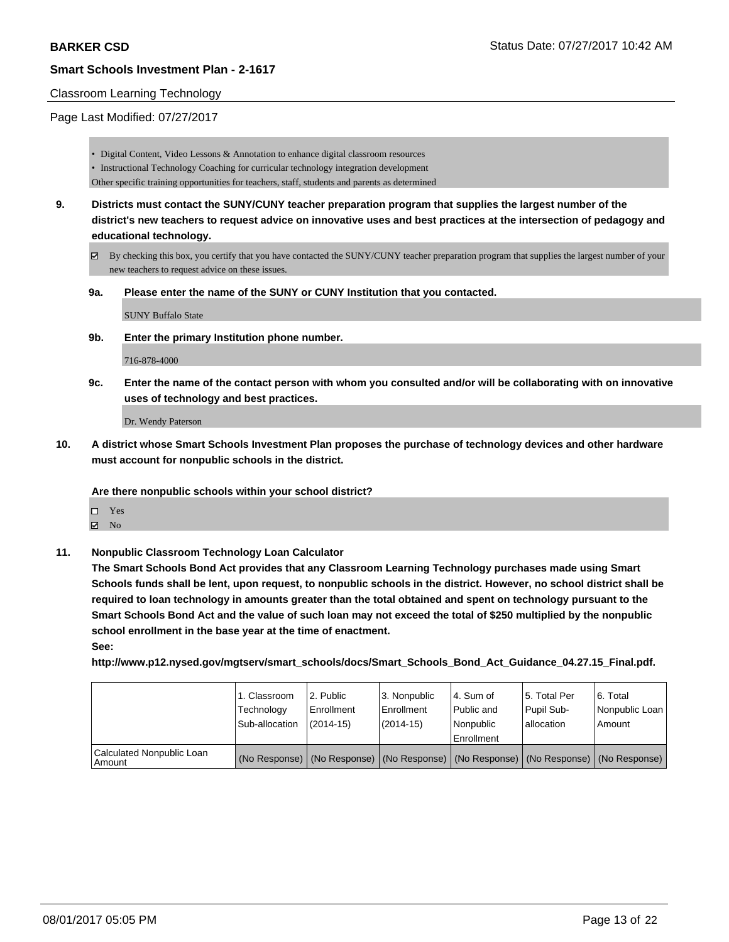#### Classroom Learning Technology

### Page Last Modified: 07/27/2017

- Digital Content, Video Lessons & Annotation to enhance digital classroom resources
- Instructional Technology Coaching for curricular technology integration development
- Other specific training opportunities for teachers, staff, students and parents as determined
- **9. Districts must contact the SUNY/CUNY teacher preparation program that supplies the largest number of the district's new teachers to request advice on innovative uses and best practices at the intersection of pedagogy and educational technology.**
	- By checking this box, you certify that you have contacted the SUNY/CUNY teacher preparation program that supplies the largest number of your new teachers to request advice on these issues.
	- **9a. Please enter the name of the SUNY or CUNY Institution that you contacted.**

SUNY Buffalo State

**9b. Enter the primary Institution phone number.**

716-878-4000

**9c. Enter the name of the contact person with whom you consulted and/or will be collaborating with on innovative uses of technology and best practices.**

Dr. Wendy Paterson

**10. A district whose Smart Schools Investment Plan proposes the purchase of technology devices and other hardware must account for nonpublic schools in the district.**

#### **Are there nonpublic schools within your school district?**

- Yes
- $\boxtimes$  No
- **11. Nonpublic Classroom Technology Loan Calculator**

**The Smart Schools Bond Act provides that any Classroom Learning Technology purchases made using Smart Schools funds shall be lent, upon request, to nonpublic schools in the district. However, no school district shall be required to loan technology in amounts greater than the total obtained and spent on technology pursuant to the Smart Schools Bond Act and the value of such loan may not exceed the total of \$250 multiplied by the nonpublic school enrollment in the base year at the time of enactment.**

**See:**

**http://www.p12.nysed.gov/mgtserv/smart\_schools/docs/Smart\_Schools\_Bond\_Act\_Guidance\_04.27.15\_Final.pdf.**

|                                       | 1. Classroom<br>Technology<br>Sub-allocation | l 2. Public<br>l Enrollment<br>$(2014-15)$ | l 3. Nonpublic<br>Enrollment<br>(2014-15) | 4. Sum of<br>Public and<br>l Nonpublic<br>Enrollment                                          | 15. Total Per<br>Pupil Sub-<br>allocation | l 6. Total<br>  Nonpublic Loan  <br>Amount |
|---------------------------------------|----------------------------------------------|--------------------------------------------|-------------------------------------------|-----------------------------------------------------------------------------------------------|-------------------------------------------|--------------------------------------------|
| Calculated Nonpublic Loan<br>l Amount |                                              |                                            |                                           | (No Response)   (No Response)   (No Response)   (No Response)   (No Response)   (No Response) |                                           |                                            |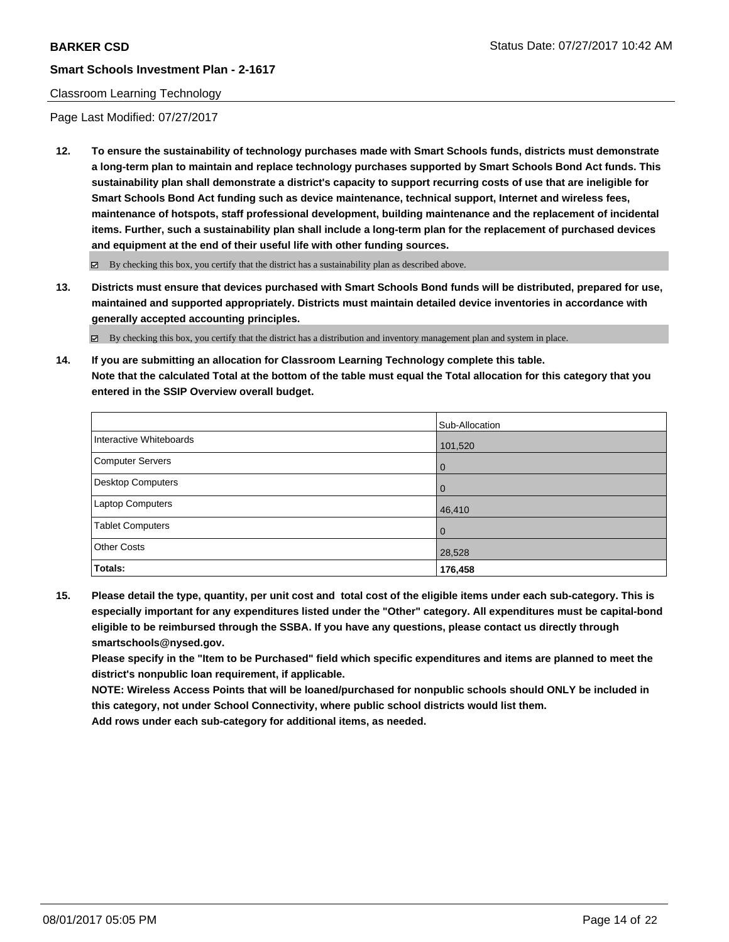### Classroom Learning Technology

Page Last Modified: 07/27/2017

**12. To ensure the sustainability of technology purchases made with Smart Schools funds, districts must demonstrate a long-term plan to maintain and replace technology purchases supported by Smart Schools Bond Act funds. This sustainability plan shall demonstrate a district's capacity to support recurring costs of use that are ineligible for Smart Schools Bond Act funding such as device maintenance, technical support, Internet and wireless fees, maintenance of hotspots, staff professional development, building maintenance and the replacement of incidental items. Further, such a sustainability plan shall include a long-term plan for the replacement of purchased devices and equipment at the end of their useful life with other funding sources.**

 $\boxtimes$  By checking this box, you certify that the district has a sustainability plan as described above.

**13. Districts must ensure that devices purchased with Smart Schools Bond funds will be distributed, prepared for use, maintained and supported appropriately. Districts must maintain detailed device inventories in accordance with generally accepted accounting principles.**

By checking this box, you certify that the district has a distribution and inventory management plan and system in place.

**14. If you are submitting an allocation for Classroom Learning Technology complete this table. Note that the calculated Total at the bottom of the table must equal the Total allocation for this category that you entered in the SSIP Overview overall budget.**

|                         | Sub-Allocation |
|-------------------------|----------------|
| Interactive Whiteboards | 101,520        |
| Computer Servers        | l 0            |
| Desktop Computers       | l O            |
| Laptop Computers        | 46,410         |
| <b>Tablet Computers</b> | $\Omega$       |
| <b>Other Costs</b>      | 28,528         |
| Totals:                 | 176,458        |

**15. Please detail the type, quantity, per unit cost and total cost of the eligible items under each sub-category. This is especially important for any expenditures listed under the "Other" category. All expenditures must be capital-bond eligible to be reimbursed through the SSBA. If you have any questions, please contact us directly through smartschools@nysed.gov.**

**Please specify in the "Item to be Purchased" field which specific expenditures and items are planned to meet the district's nonpublic loan requirement, if applicable.**

**NOTE: Wireless Access Points that will be loaned/purchased for nonpublic schools should ONLY be included in this category, not under School Connectivity, where public school districts would list them.**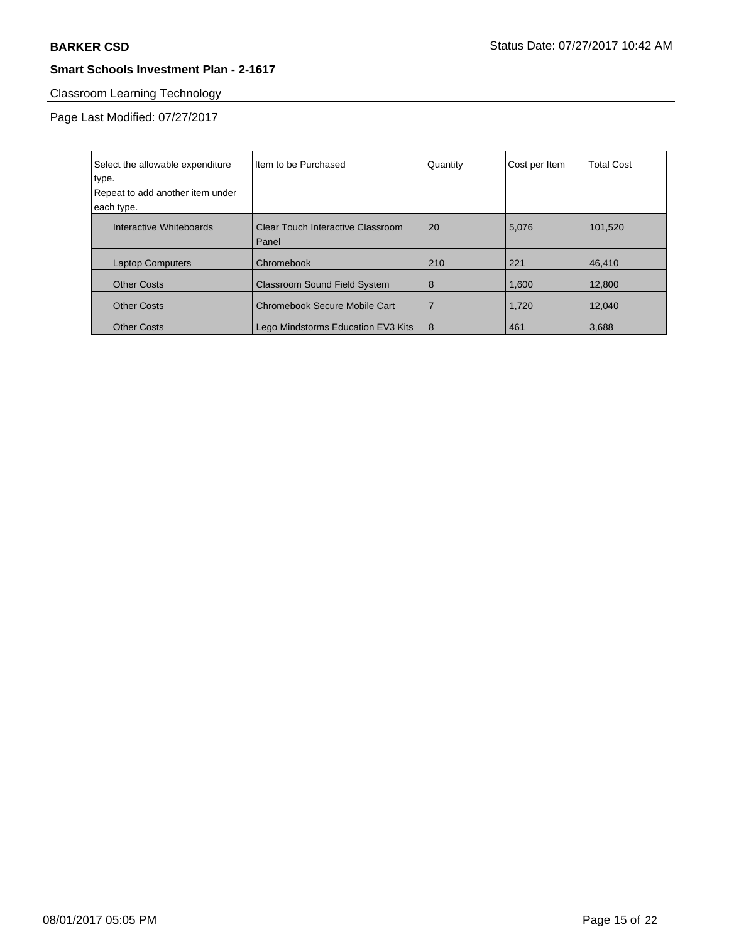# Classroom Learning Technology

Page Last Modified: 07/27/2017

| Select the allowable expenditure<br>type. | Iltem to be Purchased                      | Quantity | Cost per Item | <b>Total Cost</b> |
|-------------------------------------------|--------------------------------------------|----------|---------------|-------------------|
| Repeat to add another item under          |                                            |          |               |                   |
| each type.                                |                                            |          |               |                   |
| Interactive Whiteboards                   | Clear Touch Interactive Classroom<br>Panel | 20       | 5,076         | 101.520           |
| <b>Laptop Computers</b>                   | Chromebook                                 | 210      | 221           | 46.410            |
| <b>Other Costs</b>                        | <b>Classroom Sound Field System</b>        | 8        | 1,600         | 12,800            |
| <b>Other Costs</b>                        | <b>Chromebook Secure Mobile Cart</b>       |          | 1,720         | 12.040            |
| <b>Other Costs</b>                        | Lego Mindstorms Education EV3 Kits         | 8        | 461           | 3.688             |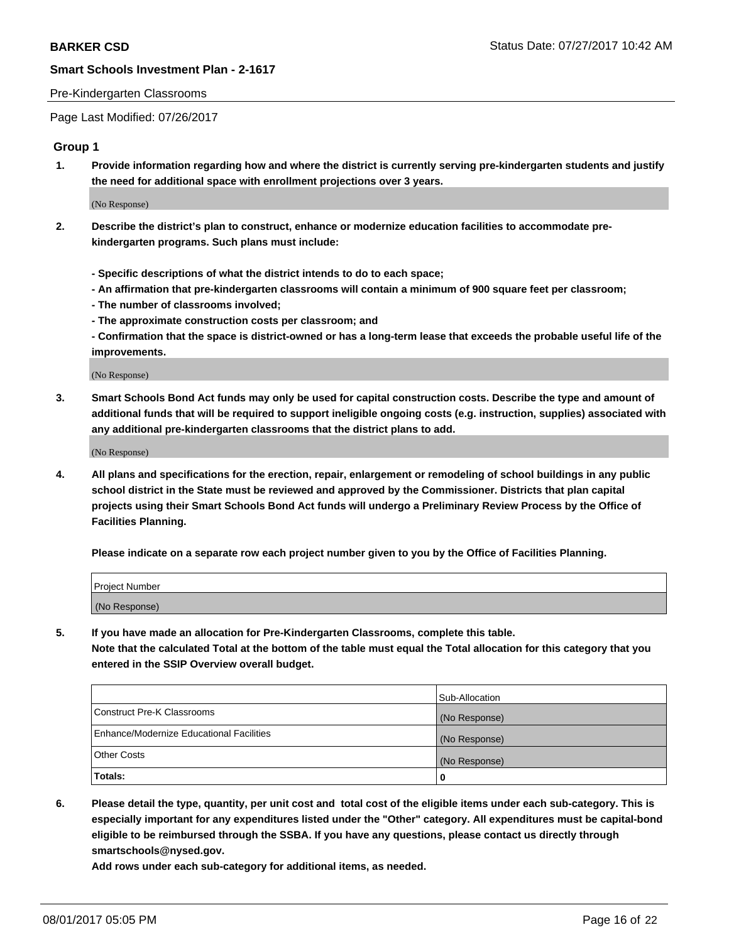### Pre-Kindergarten Classrooms

Page Last Modified: 07/26/2017

## **Group 1**

**1. Provide information regarding how and where the district is currently serving pre-kindergarten students and justify the need for additional space with enrollment projections over 3 years.**

(No Response)

- **2. Describe the district's plan to construct, enhance or modernize education facilities to accommodate prekindergarten programs. Such plans must include:**
	- **Specific descriptions of what the district intends to do to each space;**
	- **An affirmation that pre-kindergarten classrooms will contain a minimum of 900 square feet per classroom;**
	- **The number of classrooms involved;**
	- **The approximate construction costs per classroom; and**
	- **Confirmation that the space is district-owned or has a long-term lease that exceeds the probable useful life of the improvements.**

(No Response)

**3. Smart Schools Bond Act funds may only be used for capital construction costs. Describe the type and amount of additional funds that will be required to support ineligible ongoing costs (e.g. instruction, supplies) associated with any additional pre-kindergarten classrooms that the district plans to add.**

(No Response)

**4. All plans and specifications for the erection, repair, enlargement or remodeling of school buildings in any public school district in the State must be reviewed and approved by the Commissioner. Districts that plan capital projects using their Smart Schools Bond Act funds will undergo a Preliminary Review Process by the Office of Facilities Planning.**

**Please indicate on a separate row each project number given to you by the Office of Facilities Planning.**

| Project Number |  |
|----------------|--|
| (No Response)  |  |

**5. If you have made an allocation for Pre-Kindergarten Classrooms, complete this table. Note that the calculated Total at the bottom of the table must equal the Total allocation for this category that you entered in the SSIP Overview overall budget.**

|                                          | Sub-Allocation |
|------------------------------------------|----------------|
| Construct Pre-K Classrooms               | (No Response)  |
| Enhance/Modernize Educational Facilities | (No Response)  |
| Other Costs                              | (No Response)  |
| Totals:                                  | 0              |

**6. Please detail the type, quantity, per unit cost and total cost of the eligible items under each sub-category. This is especially important for any expenditures listed under the "Other" category. All expenditures must be capital-bond eligible to be reimbursed through the SSBA. If you have any questions, please contact us directly through smartschools@nysed.gov.**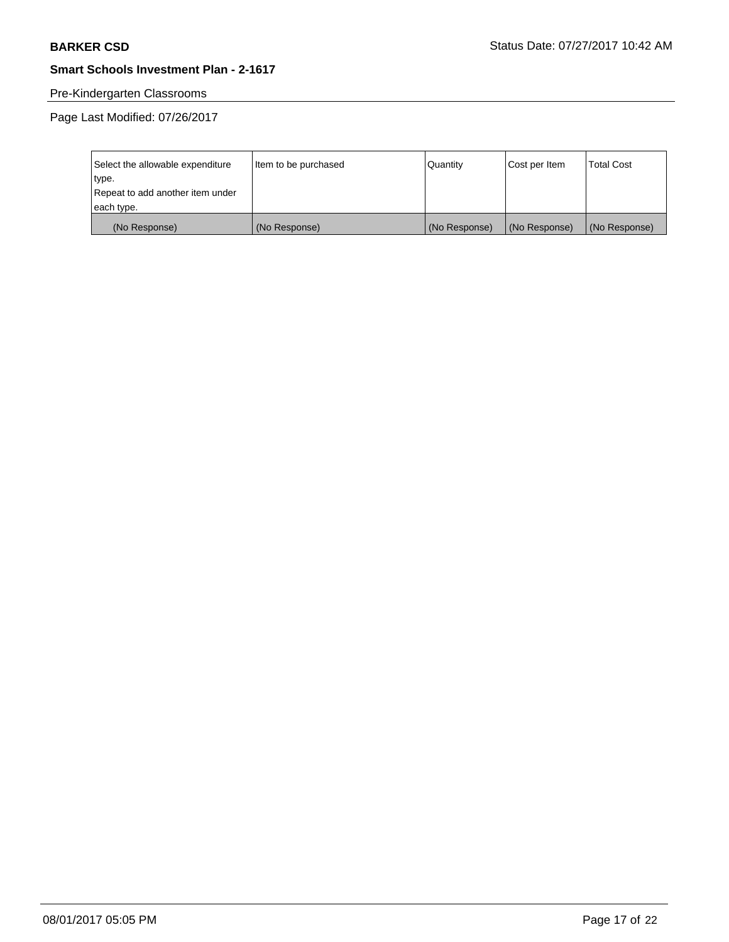# Pre-Kindergarten Classrooms

Page Last Modified: 07/26/2017

| Select the allowable expenditure | Item to be purchased | Quantity      | Cost per Item | <b>Total Cost</b> |
|----------------------------------|----------------------|---------------|---------------|-------------------|
| type.                            |                      |               |               |                   |
| Repeat to add another item under |                      |               |               |                   |
| each type.                       |                      |               |               |                   |
| (No Response)                    | (No Response)        | (No Response) | (No Response) | (No Response)     |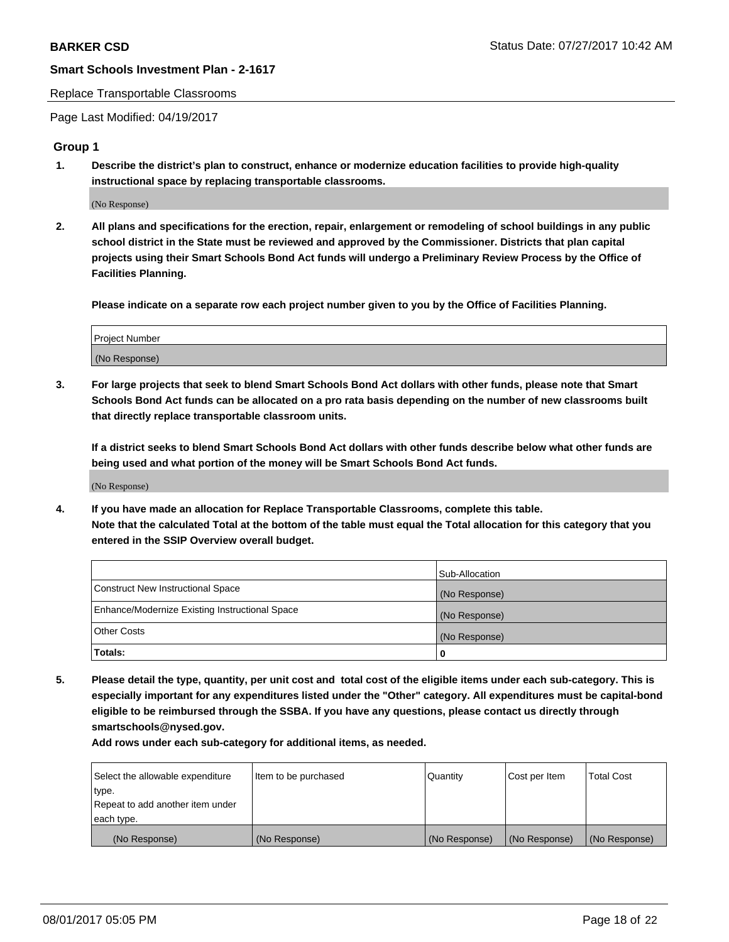#### Replace Transportable Classrooms

Page Last Modified: 04/19/2017

## **Group 1**

**1. Describe the district's plan to construct, enhance or modernize education facilities to provide high-quality instructional space by replacing transportable classrooms.**

(No Response)

**2. All plans and specifications for the erection, repair, enlargement or remodeling of school buildings in any public school district in the State must be reviewed and approved by the Commissioner. Districts that plan capital projects using their Smart Schools Bond Act funds will undergo a Preliminary Review Process by the Office of Facilities Planning.**

**Please indicate on a separate row each project number given to you by the Office of Facilities Planning.**

| Project Number |  |
|----------------|--|
| (No Response)  |  |

**3. For large projects that seek to blend Smart Schools Bond Act dollars with other funds, please note that Smart Schools Bond Act funds can be allocated on a pro rata basis depending on the number of new classrooms built that directly replace transportable classroom units.**

**If a district seeks to blend Smart Schools Bond Act dollars with other funds describe below what other funds are being used and what portion of the money will be Smart Schools Bond Act funds.**

(No Response)

**4. If you have made an allocation for Replace Transportable Classrooms, complete this table. Note that the calculated Total at the bottom of the table must equal the Total allocation for this category that you entered in the SSIP Overview overall budget.**

|                                                | Sub-Allocation |
|------------------------------------------------|----------------|
| Construct New Instructional Space              | (No Response)  |
| Enhance/Modernize Existing Instructional Space | (No Response)  |
| Other Costs                                    | (No Response)  |
| Totals:                                        | $\Omega$       |

**5. Please detail the type, quantity, per unit cost and total cost of the eligible items under each sub-category. This is especially important for any expenditures listed under the "Other" category. All expenditures must be capital-bond eligible to be reimbursed through the SSBA. If you have any questions, please contact us directly through smartschools@nysed.gov.**

| Select the allowable expenditure | Item to be purchased | Quantity      | Cost per Item | <b>Total Cost</b> |
|----------------------------------|----------------------|---------------|---------------|-------------------|
| type.                            |                      |               |               |                   |
| Repeat to add another item under |                      |               |               |                   |
| each type.                       |                      |               |               |                   |
| (No Response)                    | (No Response)        | (No Response) | (No Response) | (No Response)     |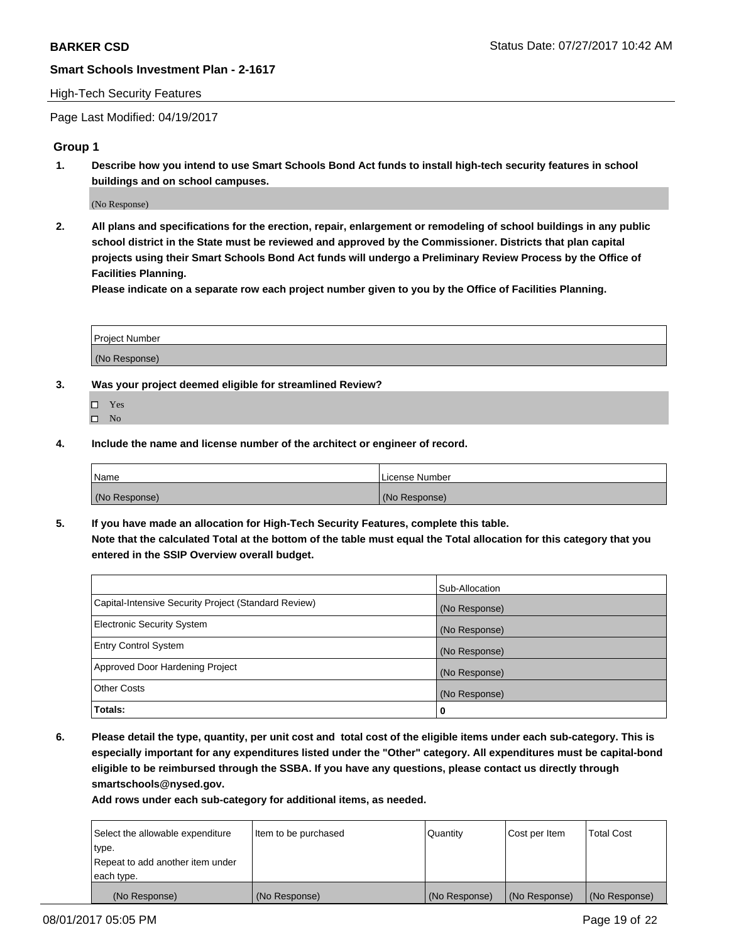## High-Tech Security Features

Page Last Modified: 04/19/2017

## **Group 1**

**1. Describe how you intend to use Smart Schools Bond Act funds to install high-tech security features in school buildings and on school campuses.**

(No Response)

**2. All plans and specifications for the erection, repair, enlargement or remodeling of school buildings in any public school district in the State must be reviewed and approved by the Commissioner. Districts that plan capital projects using their Smart Schools Bond Act funds will undergo a Preliminary Review Process by the Office of Facilities Planning.** 

**Please indicate on a separate row each project number given to you by the Office of Facilities Planning.**

| Project Number |  |
|----------------|--|
|                |  |
| (No Response)  |  |

- **3. Was your project deemed eligible for streamlined Review?**
	- Yes  $\hfill \square$  No
- **4. Include the name and license number of the architect or engineer of record.**

| Name          | License Number |
|---------------|----------------|
| (No Response) | (No Response)  |

**5. If you have made an allocation for High-Tech Security Features, complete this table. Note that the calculated Total at the bottom of the table must equal the Total allocation for this category that you entered in the SSIP Overview overall budget.**

|                                                      | Sub-Allocation |
|------------------------------------------------------|----------------|
| Capital-Intensive Security Project (Standard Review) | (No Response)  |
| Electronic Security System                           | (No Response)  |
| <b>Entry Control System</b>                          | (No Response)  |
| Approved Door Hardening Project                      | (No Response)  |
| <b>Other Costs</b>                                   | (No Response)  |
| Totals:                                              | 0              |

**6. Please detail the type, quantity, per unit cost and total cost of the eligible items under each sub-category. This is especially important for any expenditures listed under the "Other" category. All expenditures must be capital-bond eligible to be reimbursed through the SSBA. If you have any questions, please contact us directly through smartschools@nysed.gov.**

| (No Response)                    | (No Response)        | (No Response) | (No Response) | (No Response)     |
|----------------------------------|----------------------|---------------|---------------|-------------------|
| each type.                       |                      |               |               |                   |
| Repeat to add another item under |                      |               |               |                   |
| type.                            |                      |               |               |                   |
| Select the allowable expenditure | Item to be purchased | Quantity      | Cost per Item | <b>Total Cost</b> |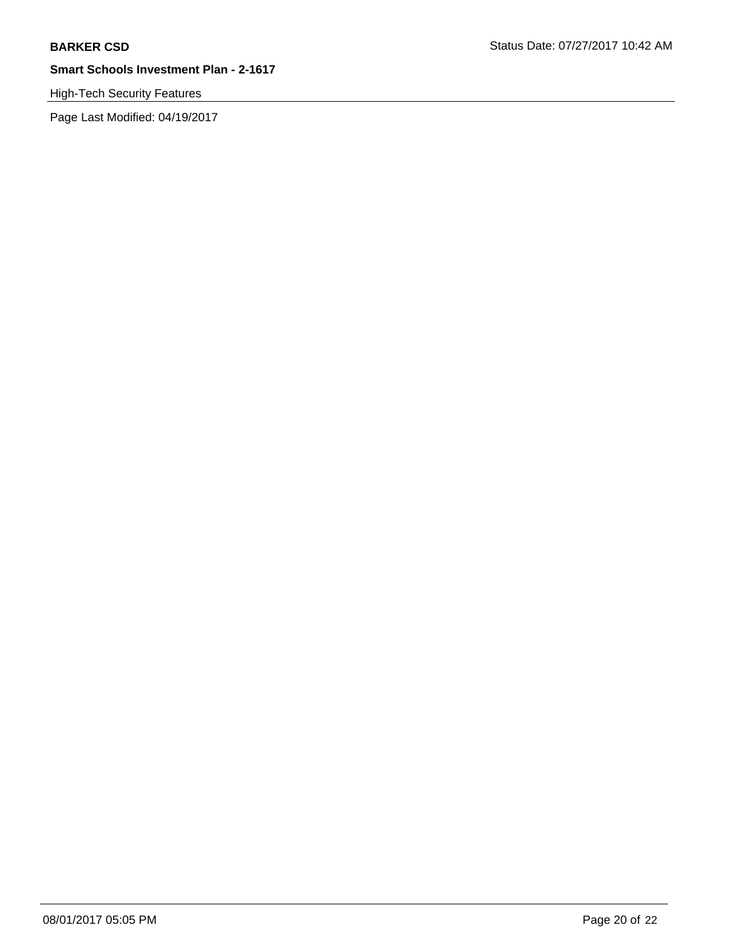High-Tech Security Features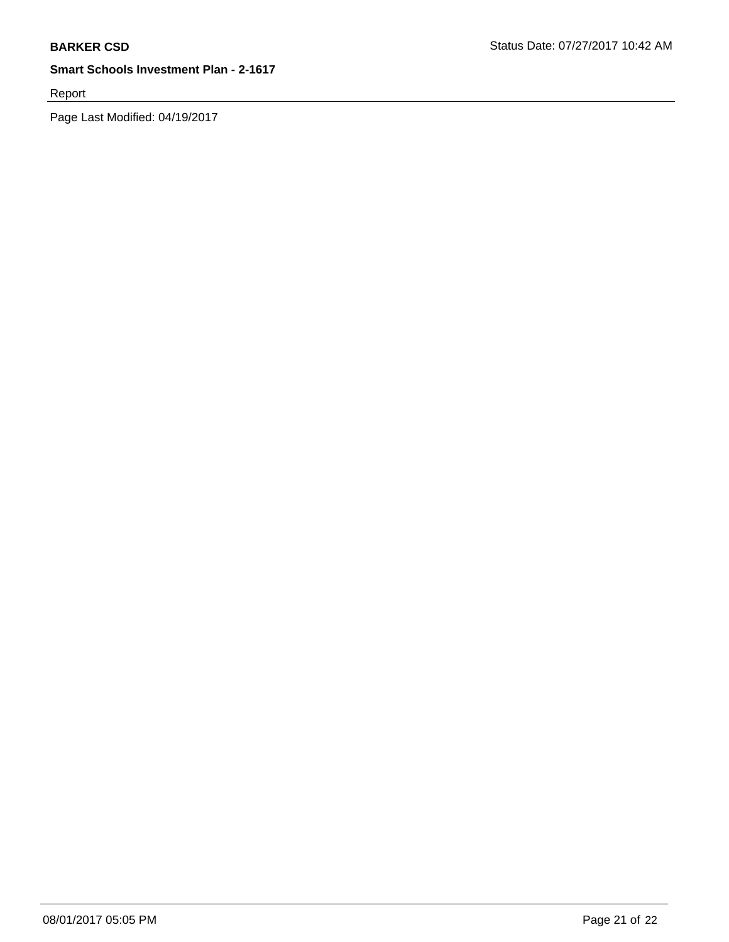Report